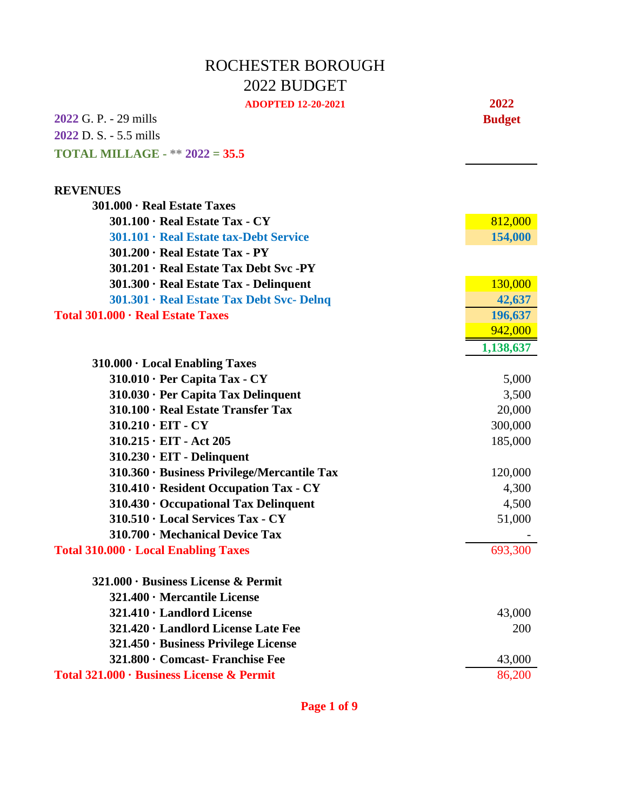## ROCHESTER BOROUGH 2022 BUDGET

| <b>ADOPTED 12-20-2021</b>                   | 2022          |
|---------------------------------------------|---------------|
| <b>2022</b> G. P. - 29 mills                | <b>Budget</b> |
| 2022 D. S. - 5.5 mills                      |               |
| <b>TOTAL MILLAGE - ** 2022 = 35.5</b>       |               |
| <b>REVENUES</b>                             |               |
| 301.000 · Real Estate Taxes                 |               |
| $301.100 \cdot$ Real Estate Tax - CY        | 812,000       |
| 301.101 · Real Estate tax-Debt Service      | 154,000       |
| $301.200 \cdot$ Real Estate Tax - PY        |               |
| 301.201 · Real Estate Tax Debt Svc -PY      |               |
| 301.300 · Real Estate Tax - Delinquent      | 130,000       |
| 301.301 · Real Estate Tax Debt Svc- Delnq   | 42,637        |
| Total 301.000 · Real Estate Taxes           | 196,637       |
|                                             | 942,000       |
|                                             | 1,138,637     |
| $310.000 \cdot$ Local Enabling Taxes        |               |
| $310.010 \cdot$ Per Capita Tax - CY         | 5,000         |
| 310.030 · Per Capita Tax Delinquent         | 3,500         |
| 310.100 · Real Estate Transfer Tax          | 20,000        |
| $310.210 \cdot EIT - CY$                    | 300,000       |
| $310.215 \cdot EIT - Act 205$               | 185,000       |
| $310.230 \cdot EIT$ - Delinquent            |               |
| 310.360 · Business Privilege/Mercantile Tax | 120,000       |
| 310.410 · Resident Occupation Tax - CY      | 4,300         |
| 310.430 · Occupational Tax Delinquent       | 4,500         |
| 310.510 · Local Services Tax - CY           | 51,000        |
| 310.700 · Mechanical Device Tax             |               |
| Total 310.000 · Local Enabling Taxes        | 693,300       |
| $321.000 \cdot$ Business License & Permit   |               |
| 321.400 · Mercantile License                |               |
| 321.410 · Landlord License                  | 43,000        |
| 321.420 · Landlord License Late Fee         | 200           |
| 321.450 · Business Privilege License        |               |
| 321.800 · Comcast- Franchise Fee            | 43,000        |
| Total 321.000 · Business License & Permit   | 86,200        |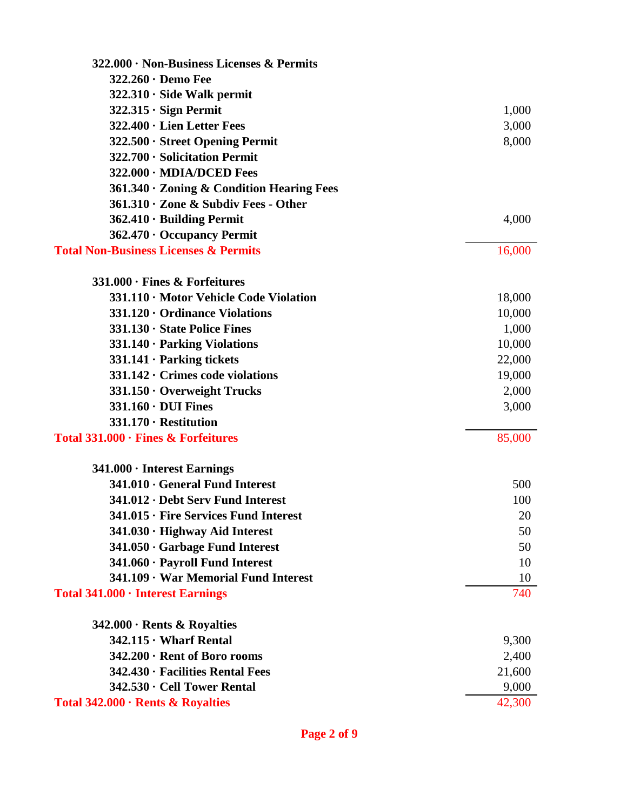| $322.000 \cdot$ Non-Business Licenses & Permits  |        |
|--------------------------------------------------|--------|
| $322.260 \cdot$ Demo Fee                         |        |
| $322.310 \cdot$ Side Walk permit                 |        |
| $322.315 \cdot$ Sign Permit                      | 1,000  |
| 322.400 · Lien Letter Fees                       | 3,000  |
| 322.500 · Street Opening Permit                  | 8,000  |
| 322.700 · Solicitation Permit                    |        |
| 322.000 · MDIA/DCED Fees                         |        |
| 361.340 · Zoning & Condition Hearing Fees        |        |
| $361.310 \cdot$ Zone & Subdiv Fees - Other       |        |
| $362.410 \cdot$ Building Permit                  | 4,000  |
| 362.470 · Occupancy Permit                       |        |
| <b>Total Non-Business Licenses &amp; Permits</b> | 16,000 |
| $331.000 \cdot$ Fines & Forfeitures              |        |
| 331.110 · Motor Vehicle Code Violation           | 18,000 |
| $331.120 \cdot$ Ordinance Violations             | 10,000 |
| 331.130 · State Police Fines                     | 1,000  |
| $331.140 \cdot$ Parking Violations               | 10,000 |
| $331.141 \cdot$ Parking tickets                  | 22,000 |
| 331.142 · Crimes code violations                 | 19,000 |
| 331.150 · Overweight Trucks                      | 2,000  |
| $331.160 \cdot \text{DUI}$ Fines                 | 3,000  |
| 331.170 · Restitution                            |        |
| Total 331.000 · Fines & Forfeitures              | 85,000 |
| $341.000 \cdot$ Interest Earnings                |        |
| 341.010 · General Fund Interest                  | 500    |
| 341.012 · Debt Serv Fund Interest                | 100    |
| 341.015 · Fire Services Fund Interest            | 20     |
| 341.030 · Highway Aid Interest                   | 50     |
| 341.050 · Garbage Fund Interest                  | 50     |
| 341.060 · Payroll Fund Interest                  | 10     |
| 341.109 · War Memorial Fund Interest             | 10     |
| Total 341.000 · Interest Earnings                | 740    |
| $342.000 \cdot$ Rents & Royalties                |        |
| $342.115 \cdot$ Wharf Rental                     | 9,300  |
| 342.200 · Rent of Boro rooms                     | 2,400  |
| 342.430 · Facilities Rental Fees                 | 21,600 |
| 342.530 · Cell Tower Rental                      | 9,000  |
| Total 342.000 · Rents & Royalties                | 42,300 |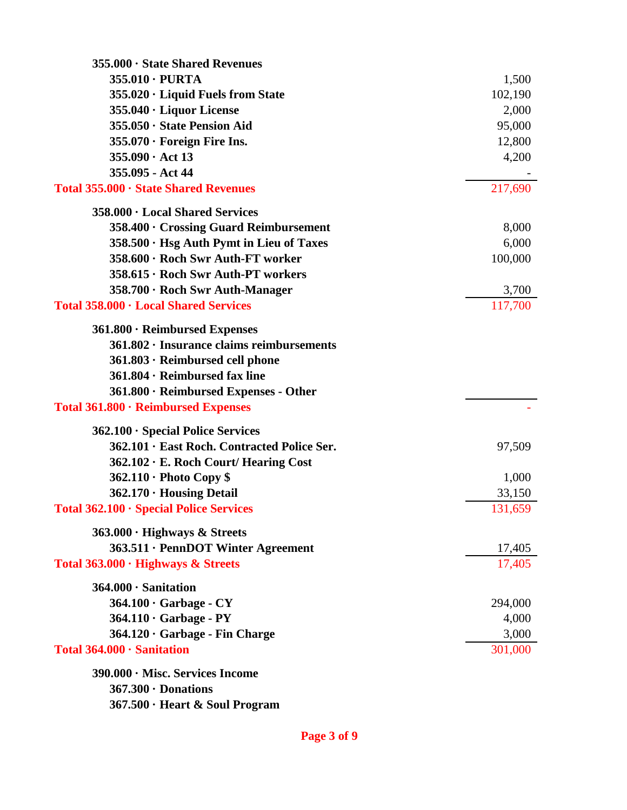| 355.000 · State Shared Revenues                 |         |
|-------------------------------------------------|---------|
| $355.010 \cdot \text{PURTA}$                    | 1,500   |
| 355.020 · Liquid Fuels from State               | 102,190 |
| 355.040 · Liquor License                        | 2,000   |
| 355.050 · State Pension Aid                     | 95,000  |
| 355.070 · Foreign Fire Ins.                     | 12,800  |
| $355.090 \cdot \text{Act} 13$                   | 4,200   |
| 355.095 - Act 44                                |         |
| Total 355.000 · State Shared Revenues           | 217,690 |
| 358.000 · Local Shared Services                 |         |
| 358.400 · Crossing Guard Reimbursement          | 8,000   |
| 358.500 · Hsg Auth Pymt in Lieu of Taxes        | 6,000   |
| 358.600 · Roch Swr Auth-FT worker               | 100,000 |
| 358.615 · Roch Swr Auth-PT workers              |         |
| 358.700 · Roch Swr Auth-Manager                 | 3,700   |
| Total 358.000 · Local Shared Services           | 117,700 |
| $361.800 \cdot$ Reimbursed Expenses             |         |
| $361.802 \cdot$ Insurance claims reimbursements |         |
| 361.803 · Reimbursed cell phone                 |         |
| $361.804 \cdot$ Reimbursed fax line             |         |
| 361.800 · Reimbursed Expenses - Other           |         |
| Total 361.800 · Reimbursed Expenses             |         |
| $362.100 \cdot$ Special Police Services         |         |
| 362.101 · East Roch. Contracted Police Ser.     | 97,509  |
| 362.102 · E. Roch Court/ Hearing Cost           |         |
| $362.110 \cdot$ Photo Copy \$                   | 1,000   |
| 362.170 · Housing Detail                        | 33,150  |
| Total 362.100 · Special Police Services         | 131,659 |
| 363.000 · Highways & Streets                    |         |
| 363.511 · PennDOT Winter Agreement              | 17,405  |
| Total 363.000 · Highways & Streets              | 17,405  |
| 364.000 · Sanitation                            |         |
| $364.100 \cdot$ Garbage - CY                    | 294,000 |
| $364.110 \cdot$ Garbage - PY                    | 4,000   |
| 364.120 · Garbage - Fin Charge                  | 3,000   |
| Total 364.000 · Sanitation                      | 301,000 |
| 390.000 · Misc. Services Income                 |         |
| $367.300 \cdot$ Donations                       |         |
| 367.500 · Heart & Soul Program                  |         |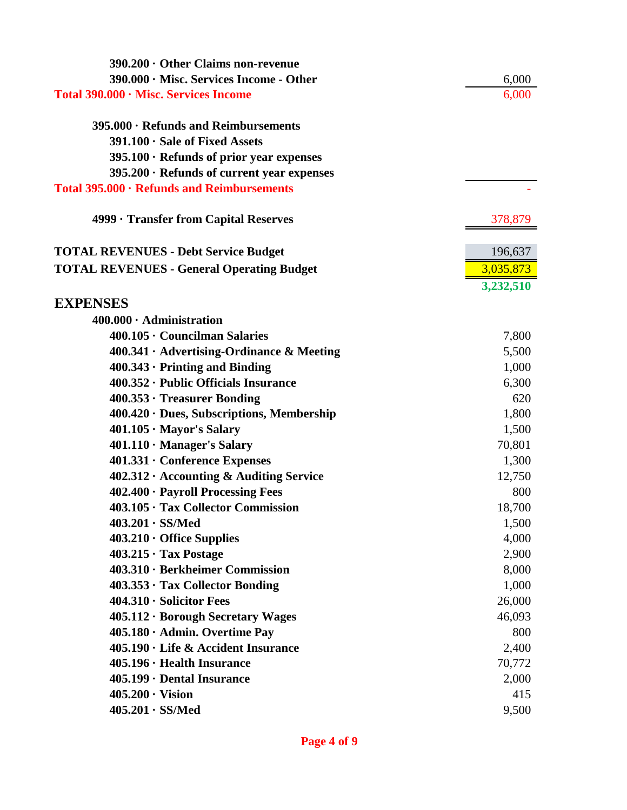| $390.200 \cdot$ Other Claims non-revenue         |           |
|--------------------------------------------------|-----------|
| 390.000 · Misc. Services Income - Other          | 6,000     |
| Total 390.000 · Misc. Services Income            | 6,000     |
| 395.000 · Refunds and Reimbursements             |           |
| $391.100 \cdot$ Sale of Fixed Assets             |           |
| 395.100 · Refunds of prior year expenses         |           |
| $395.200 \cdot$ Refunds of current year expenses |           |
| Total 395.000 · Refunds and Reimbursements       |           |
| 4999 · Transfer from Capital Reserves            | 378,879   |
| <b>TOTAL REVENUES - Debt Service Budget</b>      | 196,637   |
| <b>TOTAL REVENUES - General Operating Budget</b> | 3,035,873 |
|                                                  | 3,232,510 |
| <b>EXPENSES</b>                                  |           |
| $400.000 \cdot$ Administration                   |           |
| 400.105 · Councilman Salaries                    | 7,800     |
| $400.341 \cdot$ Advertising-Ordinance & Meeting  | 5,500     |
| $400.343 \cdot$ Printing and Binding             | 1,000     |
| 400.352 · Public Officials Insurance             | 6,300     |
| $400.353 \cdot$ Treasurer Bonding                | 620       |
| $400.420 \cdot$ Dues, Subscriptions, Membership  | 1,800     |
| $401.105 \cdot$ Mayor's Salary                   | 1,500     |
| $401.110 \cdot$ Manager's Salary                 | 70,801    |
| 401.331 • Conference Expenses                    | 1,300     |
| $402.312 \cdot$ Accounting & Auditing Service    | 12,750    |
| 402.400 · Payroll Processing Fees                | 800       |
| 403.105 · Tax Collector Commission               | 18,700    |
| $403.201 \cdot SS/Med$                           | 1,500     |
| $403.210 \cdot$ Office Supplies                  | 4,000     |
| $403.215 \cdot$ Tax Postage                      | 2,900     |
| 403.310 · Berkheimer Commission                  | 8,000     |
| 403.353 · Tax Collector Bonding                  | 1,000     |
| $404.310 \cdot$ Solicitor Fees                   | 26,000    |
| 405.112 · Borough Secretary Wages                | 46,093    |
| 405.180 · Admin. Overtime Pay                    | 800       |
| 405.190 · Life & Accident Insurance              | 2,400     |
| $405.196 \cdot$ Health Insurance                 | 70,772    |
| 405.199 · Dental Insurance                       | 2,000     |
| $405.200 \cdot \text{Vision}$                    | 415       |
| $405.201 \cdot SS/Med$                           | 9,500     |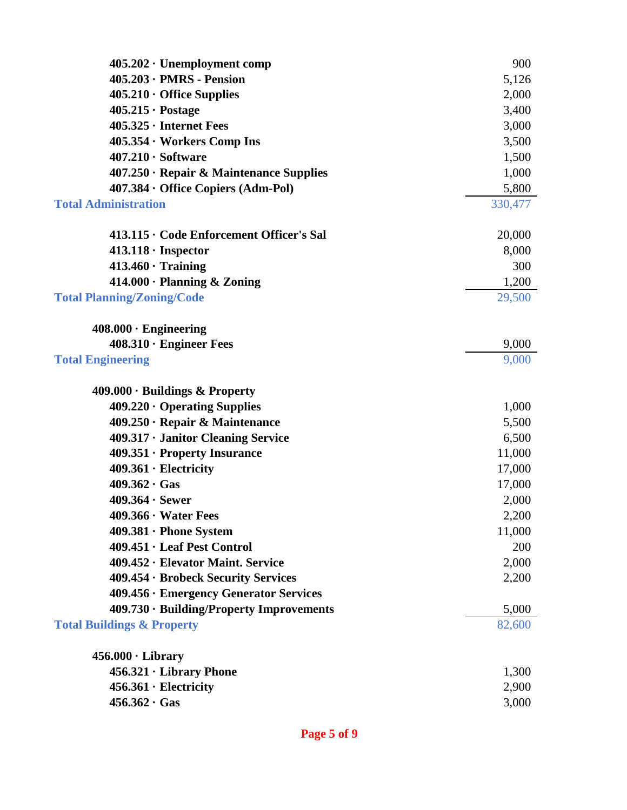| $405.202 \cdot$ Unemployment comp             | 900     |
|-----------------------------------------------|---------|
| $405.203 \cdot PMRS$ - Pension                | 5,126   |
| $405.210 \cdot$ Office Supplies               | 2,000   |
| $405.215 \cdot \text{Postage}$                | 3,400   |
| $405.325 \cdot$ Internet Fees                 | 3,000   |
| $405.354 \cdot \text{Works Comp Ins}$         | 3,500   |
| $407.210 \cdot Software$                      | 1,500   |
| $407.250 \cdot$ Repair & Maintenance Supplies | 1,000   |
| 407.384 · Office Copiers (Adm-Pol)            | 5,800   |
| <b>Total Administration</b>                   | 330,477 |
|                                               |         |
| 413.115 · Code Enforcement Officer's Sal      | 20,000  |
| $413.118 \cdot$ Inspector                     | 8,000   |
| $413.460 \cdot$ Training                      | 300     |
| $414.000 \cdot$ Planning & Zoning             | 1,200   |
| <b>Total Planning/Zoning/Code</b>             | 29,500  |
|                                               |         |
| $408.000 \cdot$ Engineering                   |         |
| $408.310 \cdot$ Engineer Fees                 | 9,000   |
| <b>Total Engineering</b>                      | 9,000   |
| $409.000 \cdot$ Buildings & Property          |         |
| $409.220 \cdot$ Operating Supplies            | 1,000   |
| $409.250 \cdot$ Repair & Maintenance          | 5,500   |
| 409.317 · Janitor Cleaning Service            | 6,500   |
| 409.351 · Property Insurance                  | 11,000  |
| $409.361 \cdot$ Electricity                   | 17,000  |
| $409.362 \cdot Gas$                           | 17,000  |
| $409.364 \cdot$ Sewer                         | 2,000   |
| $409.366 \cdot Water \text{Fees}$             | 2,200   |
| $409.381 \cdot$ Phone System                  | 11,000  |
| $409.451 \cdot$ Leaf Pest Control             | 200     |
| 409.452 · Elevator Maint. Service             | 2,000   |
| 409.454 · Brobeck Security Services           | 2,200   |
| 409.456 · Emergency Generator Services        |         |
| 409.730 · Building/Property Improvements      | 5,000   |
| <b>Total Buildings &amp; Property</b>         | 82,600  |
|                                               |         |
| $456.000 \cdot \text{Library}$                |         |
| $456.321 \cdot Library Phone$                 | 1,300   |
| $456.361 \cdot$ Electricity                   | 2,900   |
| $456.362 \cdot Gas$                           | 3,000   |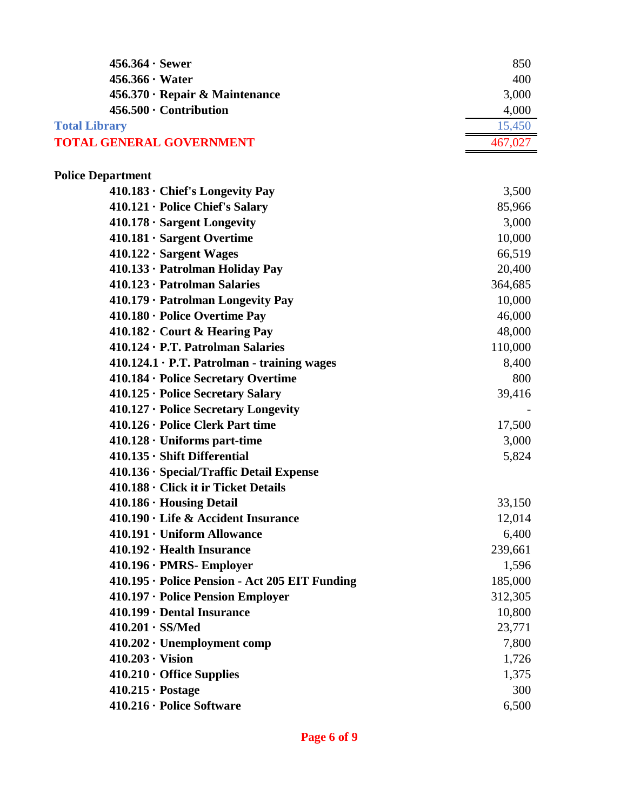| $456.364 \cdot$ Sewer                             | 850     |
|---------------------------------------------------|---------|
| $456.366 \cdot Water$                             | 400     |
| 456.370 · Repair & Maintenance                    | 3,000   |
| $456.500 \cdot$ Contribution                      | 4,000   |
| <b>Total Library</b>                              | 15,450  |
| <b>TOTAL GENERAL GOVERNMENT</b>                   | 467,027 |
|                                                   |         |
| <b>Police Department</b>                          |         |
| $410.183 \cdot$ Chief's Longevity Pay             | 3,500   |
| 410.121 · Police Chief's Salary                   | 85,966  |
| $410.178 \cdot$ Sargent Longevity                 | 3,000   |
| $410.181 \cdot$ Sargent Overtime                  | 10,000  |
| $410.122 \cdot$ Sargent Wages                     | 66,519  |
| 410.133 · Patrolman Holiday Pay                   | 20,400  |
| 410.123 · Patrolman Salaries                      | 364,685 |
| 410.179 · Patrolman Longevity Pay                 | 10,000  |
| 410.180 · Police Overtime Pay                     | 46,000  |
| $410.182 \cdot$ Court & Hearing Pay               | 48,000  |
| $410.124 \cdot P.T.$ Patrolman Salaries           | 110,000 |
| $410.124.1 \cdot P.T.$ Patrolman - training wages | 8,400   |
| 410.184 · Police Secretary Overtime               | 800     |
| $410.125 \cdot$ Police Secretary Salary           | 39,416  |
| $410.127 \cdot$ Police Secretary Longevity        |         |
| 410.126 · Police Clerk Part time                  | 17,500  |
| $410.128 \cdot$ Uniforms part-time                | 3,000   |
| $410.135 \cdot$ Shift Differential                | 5,824   |
| $410.136 \cdot Special/Traffic Detail$ Expense    |         |
| 410.188 · Click it ir Ticket Details              |         |
| 410.186 · Housing Detail                          | 33,150  |
| 410.190 · Life & Accident Insurance               | 12,014  |
| 410.191 · Uniform Allowance                       | 6,400   |
| $410.192 \cdot$ Health Insurance                  | 239,661 |
| $410.196 \cdot PMRS$ - Employer                   | 1,596   |
| 410.195 · Police Pension - Act 205 EIT Funding    | 185,000 |
| 410.197 · Police Pension Employer                 | 312,305 |
| 410.199 · Dental Insurance                        | 10,800  |
| $410.201 \cdot SS/Med$                            | 23,771  |
| $410.202 \cdot$ Unemployment comp                 | 7,800   |
| $410.203 \cdot Vision$                            | 1,726   |
| $410.210 \cdot$ Office Supplies                   | 1,375   |
| $410.215 \cdot \text{Postage}$                    | 300     |
| 410.216 · Police Software                         | 6,500   |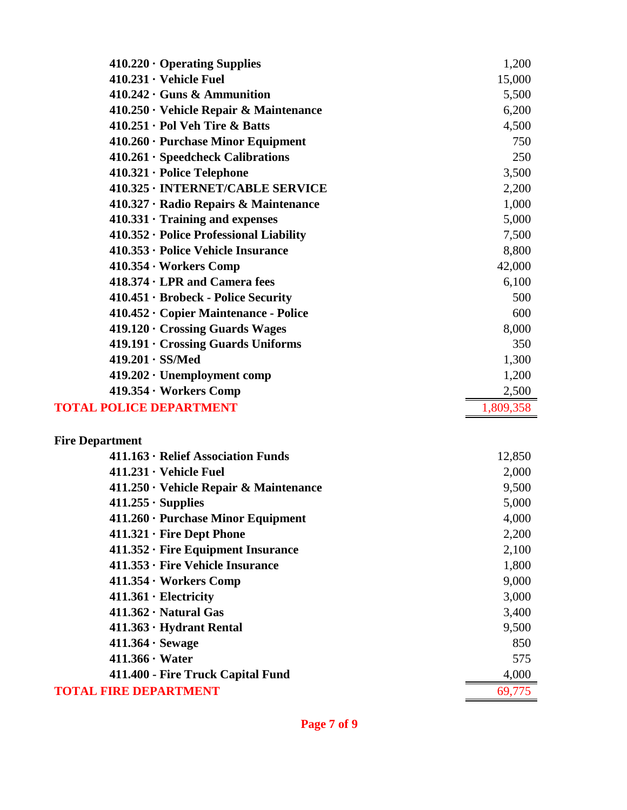| $410.220 \cdot$ Operating Supplies                             | 1,200          |
|----------------------------------------------------------------|----------------|
| $410.231 \cdot$ Vehicle Fuel                                   | 15,000         |
| $410.242 \cdot \text{Guns } \& \text{ Ammunition}$             | 5,500          |
| $410.250 \cdot$ Vehicle Repair & Maintenance                   | 6,200          |
| $410.251 \cdot$ Pol Veh Tire & Batts                           | 4,500          |
| $410.260 \cdot$ Purchase Minor Equipment                       | 750            |
| $410.261 \cdot$ Speedcheck Calibrations                        | 250            |
| $410.321 \cdot$ Police Telephone                               | 3,500          |
| 410.325 · INTERNET/CABLE SERVICE                               | 2,200          |
| 410.327 · Radio Repairs & Maintenance                          | 1,000          |
| $410.331 \cdot$ Training and expenses                          | 5,000          |
| 410.352 · Police Professional Liability                        | 7,500          |
| $410.353 \cdot$ Police Vehicle Insurance                       | 8,800          |
| $410.354 \cdot \text{Works Comp}$                              | 42,000         |
| $418.374 \cdot LPR$ and Camera fees                            | 6,100          |
| 410.451 · Brobeck - Police Security                            | 500            |
| 410.452 · Copier Maintenance - Police                          | 600            |
| 419.120 · Crossing Guards Wages                                | 8,000          |
| $419.191 \cdot$ Crossing Guards Uniforms                       | 350            |
| $419.201 \cdot SS/Med$                                         | 1,300          |
| 419.202 · Unemployment comp                                    | 1,200          |
| $419.354 \cdot \text{Works Comp}$                              | 2,500          |
| <b>TOTAL POLICE DEPARTMENT</b>                                 | 1,809,358      |
|                                                                |                |
| <b>Fire Department</b><br>411.163 · Relief Association Funds   |                |
| $411.231 \cdot$ Vehicle Fuel                                   | 12,850         |
|                                                                | 2,000          |
| $411.250 \cdot$ Vehicle Repair & Maintenance                   | 9,500<br>5,000 |
| $411.255 \cdot$ Supplies<br>411.260 · Purchase Minor Equipment | 4,000          |
| $411.321 \cdot$ Fire Dept Phone                                | 2,200          |
| $411.352 \cdot$ Fire Equipment Insurance                       | 2,100          |
| 411.353 · Fire Vehicle Insurance                               | 1,800          |
| 411.354 · Workers Comp                                         | 9,000          |
| $411.361 \cdot$ Electricity                                    | 3,000          |
| $411.362 \cdot$ Natural Gas                                    | 3,400          |
| $411.363 \cdot Hydrant Rental$                                 | 9,500          |
| $411.364 \cdot$ Sewage                                         | 850            |
| $411.366 \cdot Water$                                          | 575            |
| 411.400 - Fire Truck Capital Fund                              | 4,000          |
| <b>TOTAL FIRE DEPARTMENT</b>                                   | 69,775         |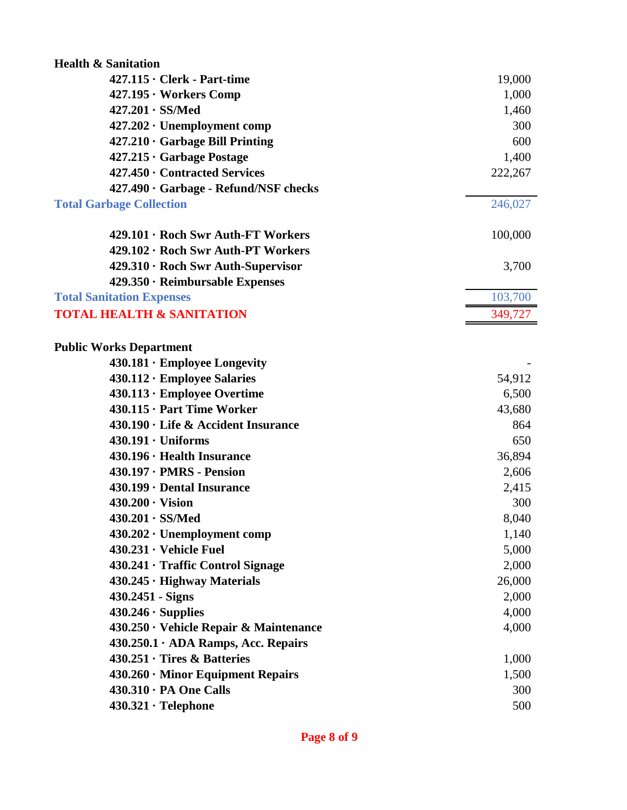| <b>Health &amp; Sanitation</b>            |         |
|-------------------------------------------|---------|
| $427.115 \cdot$ Clerk - Part-time         | 19,000  |
| $427.195 \cdot \text{Works Comp}$         | 1,000   |
| $427.201 \cdot SS/Med$                    | 1,460   |
| $427.202 \cdot$ Unemployment comp         | 300     |
| $427.210 \cdot$ Garbage Bill Printing     | 600     |
| $427.215 \cdot$ Garbage Postage           | 1,400   |
| 427.450 · Contracted Services             | 222,267 |
| 427.490 · Garbage - Refund/NSF checks     |         |
| <b>Total Garbage Collection</b>           | 246,027 |
|                                           |         |
| 429.101 · Roch Swr Auth-FT Workers        | 100,000 |
| 429.102 · Roch Swr Auth-PT Workers        |         |
| 429.310 · Roch Swr Auth-Supervisor        | 3,700   |
| $429.350 \cdot$ Reimbursable Expenses     |         |
| <b>Total Sanitation Expenses</b>          | 103,700 |
| <b>TOTAL HEALTH &amp; SANITATION</b>      | 349,727 |
|                                           |         |
| <b>Public Works Department</b>            |         |
| $430.181 \cdot$ Employee Longevity        |         |
| 430.112 · Employee Salaries               | 54,912  |
| 430.113 · Employee Overtime               | 6,500   |
| 430.115 · Part Time Worker                | 43,680  |
| 430.190 · Life & Accident Insurance       | 864     |
| $430.191 \cdot$ Uniforms                  | 650     |
| 430.196 · Health Insurance                | 36,894  |
| $430.197 \cdot PMRS$ - Pension            | 2,606   |
| 430.199 · Dental Insurance                | 2,415   |
| $430.200 \cdot \text{Vision}$             | 300     |
| $430.201 \cdot SS/Med$                    | 8,040   |
| $430.202 \cdot$ Unemployment comp         | 1,140   |
| $430.231 \cdot$ Vehicle Fuel              | 5,000   |
| 430.241 · Traffic Control Signage         | 2,000   |
| $430.245 \cdot$ Highway Materials         | 26,000  |
| 430.2451 - Signs                          | 2,000   |
| $430.246 \cdot$ Supplies                  | 4,000   |
| 430.250 · Vehicle Repair & Maintenance    | 4,000   |
| $430.250.1 \cdot$ ADA Ramps, Acc. Repairs |         |
| $430.251 \cdot$ Tires & Batteries         | 1,000   |
| $430.260 \cdot$ Minor Equipment Repairs   | 1,500   |
| 430.310 · PA One Calls                    | 300     |
| $430.321 \cdot$ Telephone                 | 500     |